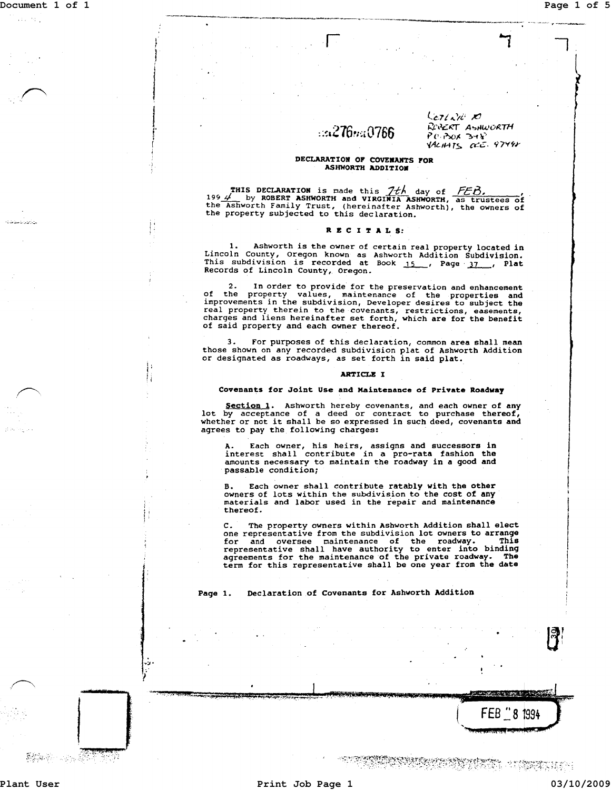ada ing l

كالأتلان كاحتياطت

)  $\mathbf{I}$ 

I

 $\mathbf{I}$ r<br>Fransk<br>F *i* 

i, ! ' : ! !

 $.1.1$ 

# $\approx$  276 $m$ 0766

-~~-~.-----.-.. -----~------.................. ~"--"' ........ - .... --...,--\_. "~--------

 $k$ *271210 10* ROBERT ASHWORTH  $P$  (1.  $P$ OK  $P$ 34 $P$ 'iALII-i r> *0::'::.* 'i *7'('11-*

### DECLARATION OF COVENANTS FOR **ASHWORTH ADDITION**

THIS DECLARATION is made this  $1+4$  day of FEB,<br>1994 by ROBERT ASHWORTH and VIRGINIA ASHWORTH, as trustees of<br>the Ashworth Family Trust, (hereinafter Ashworth), the owners of<br>the property subjected to this declaration.

## RECITALS:

1. Ashworth is the owner of certain real property located in Lincoln County, Oregon known as Ashworth Addition Subdivision.<br>This subdivision is recorded at Book 15., Page 37., Plat Records of Lincoln County, Oregon.

2. In order to provide for the preservation and enhancement<br>of the property values, maintenance of the properties and<br>improvements in the subdivision, Developer desires to subject the<br>real property therein to the covenants of said property and each owner thereof.

For purposes of this declaration, common area shall mean those shown on any recorded subdivision plat of Ashworth Addition or designated as roadways, as set forth in said plat.

### ARTICLE I

### Covenants for Joint Use and Maintenance of Private Roadway

Section 1. Ashworth hereby covenants, and each owner of any lot by acceptance of a deed or contract to purchase thereof, whether or not it shall be so expressed in such deed, covenants and agrees to pay the following charges:

A. Each owner, his heirs, assigns and successors in interest shall contribute in a pro-rata fashion the amounts necessary to maintain the roadway in a good and passable condition;

Each owner shall contribute ratably with the other owners of lots within the subdivision to the cost of any materials and labor used in the repair and maintenance thereof.

C. The property owners within Ashworth Addition shall elect<br>one representative from the subdivision lot owners to arrange<br>for and oversee maintenance of the roadway. This<br>representative shall have authority to enter into b term for this representative shall be one year from the date

Page 1. Declaration of Covenants for Ashworth Addition

1.;&. ..4 W Ii

State of States

**The Second Company of the Second Company of the Second Company of the Second Company of the Second Company of** 

<u>State of Alexander</u>

FEB  $\degree$  8 1994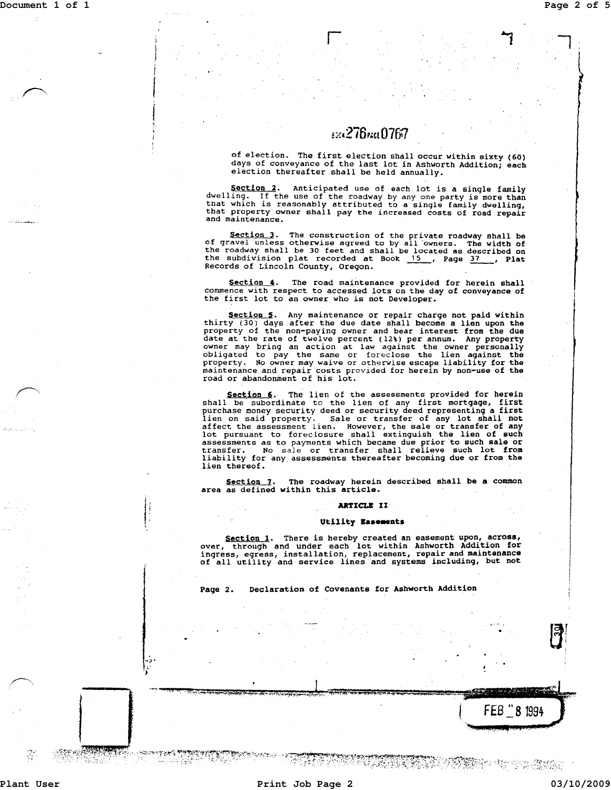## 8304276pxc10767

r

of election. The first election shall occur within sixty (60) days of conveyance of the last lot in Ashworth Addition; each election thereafter shall be held annually.

Section 2. Anticipated use of each lot is a single family dwelling. If the use of the roadway by any one party is more than that which is reasonably attributed to a single family dwelling, that property owner shall pay the increased costs of road repair<br>and maintenance.

Section 3. The construction of the private roadway shall be of gravel unless otherwise agreed to by all owners. The width of the roadway shall be 30 feet and shall be located as described on<br>the subdivision plat recorded at Book 15 , Page 37 , Plat<br>Records of Lincoln County, Oregon.

Section 4. The road maintenance provided for herein shall commence with respect to accessed lots on the day of conveyance of the first lot to an owner who is not Developer.

Section 5. Any maintenance or repair charge not paid within thirty (30) days after the due date shall become a lien upon the property of the non-paying owner and bear interest from the due date at the rate of twelve percent (12\) per annum. Any property owner may bring an action at law against the owner personally obligated to pay the same or foreclose the lien against the property. No owner may waive or otherwise escape liability for the maintenance and repair costs provided for herein by non-use of the road or abandonment of his lot.

Section 6. The lien of the assessments provided for herein shall be subordinate to the lien of any first mortgage, first purchase money security deed or security deed representing a first plien on said property. Sale or transfer of any lot shall not affect the assessment lien. However, the sale or transfer of any lot shall not affect the assessment lien. However, the sale or transfer of any lot pursuant to assessments as to payments which became due prior to such sale or transfer. No sale or transfer shall relieve such lot from liability for any assessments thereafter becoming due or from the lien thereof.

Section 7. The roadway herein described shall be a common area as defined within this article.

## **ARTICLB II**

## **Utility Basements**

Section 1. There is hereby created an easement upon, across, over, through and under each lot within Ashworth Addition for ingress, egress, installation, replacement, repair and maintenance of all utility and service lines

TA MARABAYA YA 1970<br>TA MARABA

Page 2. Declaration of Covenants for Ashworth Addition

Ŧ

**'.;.1.** 

**--**

FEB 28 1994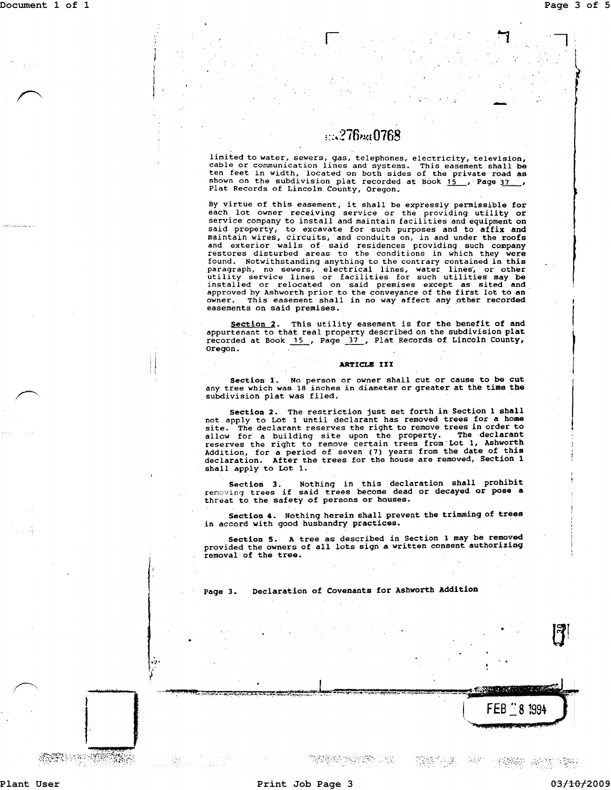$\begin{array}{c}\n\bullet \\
\bullet \\
\bullet \\
\bullet\n\end{array}$ 

## EDA 276 PAGE 0768

limited to water, sewers, gas, telephones, electricity, television, cable or communication lines and systems. This easement shall be ten feet in width, located on both sides of the private road as shown on the subdivision plat recorded at Book 15 , Page 37 , Plat Records of Lincoln County, Oregon.

By virtue of this easement, it shall be expressly permissible for each lot owner receiving service or the providing utility or service company to install and maintain facilities and equipment on said property, to excavate for such purposes and to affix and maintain wires, circuits, 'and conduits on, in and under the roofs and exterior walls of said residences providing such company restores disturbed areas to the conditions in which they were found. Notwithstanding anything to the contrary contained in this paragraph, no sewers, electrical lines, water lines', or other utility service lines or facilities for such utilities may be installed or relocated on said premises except as sited and approved by Ashworth prior to the conveyance of the first lot to an owner. This easement shall in no way affect any other recorded owner. This easement shall in no way affect any other recorded easements on said premises.

Section 2. This utility easement is for the benefit of and appurtenant to that real property described on the subdivision plat recorded at Book  $\frac{15}{2}$ , Page  $\frac{37}{2}$ , Plat Records of Lincoln County, oregon.

#### ARTICLE III

Section 1. No person or owner shall cut or cause to be cut any tree which was 18 inches in diameter or greater at the time the subdivision plat was filed.

Section 2. The restriction just set forth in Section 1 shall not apply to Lot 1 until declarant has removed trees for a home site. The declarant reserves the right to remove trees in order to allow for a building site upon the property. The declarant reserves the right to remove certain trees from' Lot 1, Ashworth Addition, for a period of seven (7) years from the date of this declaration. After the trees for the house are removed, Section 1 shall apply to Lot 1.

Section 3. Nothing in this declaration shall prohibit renoving trees if said trees become dead or decayed or pose a threat to the safety of persons or houses.

Section 4. Nothing herein shall prevent the trimming of trees in accord with good husbandry practices.

Section 5. A tree as described in Section 1 may be removed provided the owners of all lots sign a written consent authorizing removal'of the tree.

Page 3. Declaration of Covenants for Ashworth Addition

 $\overline{\phantom{a}}$ STATE LOCAL COMPANY

**MARKA SERIFO** LANA i (2419-94)

**SALE** (영환) 동안에 함도

FEB 281994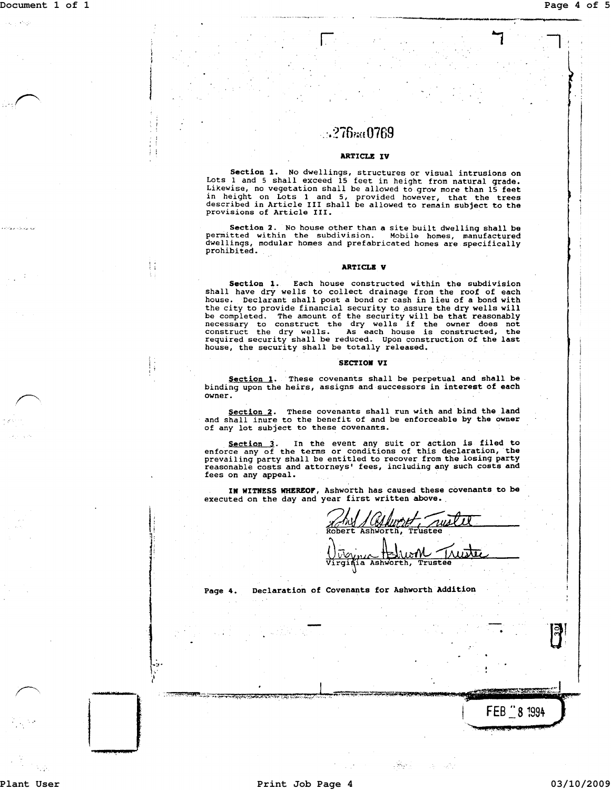$\mathbf{r}$ )

I

'- ;

i i<br>Indonésia<br>Indonésia

I

 $\mathbf{1}$ 

------------.------------~----~-------

## $\ldots$ ?76260769

## ARTICLE IV

Section 1. No dwellings, structures or visual intrusions on Lots 1 and 5 shall exceed 15 feet in height from natural grade. Likewise, no vegetation shall be allowed to grow more than 15 feet in height on Lots 1 and 5, provided however, that the trees described in Article III shall be allowed to remain subject to the provisions of Article III.

Section 2. No house other than a site built dwelling shall be permitted within the subdivision. Mobile homes, manufactured dwellings, modular homes and prefabricated homes are specifically prohibited. .

### ARTICLE V

Section 1. Each house constructed within the subdivision shall have dry wells to collect drainage from the roof of each house. Declarant shall post a bond or cash in lieu of a bond with the city to provide financial security to assure the dry wells will be completed. The amount of the security will be that reasonably<br>necessary to construct the dry wells if the owner does not<br>construct the dry wells. As each house is constructed, the<br>required security shall be reduced. Upo house, the security shall be totally released.

## SECTIOR VI

Section 1. These covenants shall be perpetual and shall be binding upon the heirs, assigns and successors in interest of each owner.

Section 2. These covenants shall run with and bind the land<br>and shall inure to the benefit of and be enforceable by the owner of any lot subject to these covenants.

Section 3. In the event any suit or action is filed to<br>enforce any of the terms or conditions of this declaration, the<br>prevailing party shall be entitled to recover from the losing party<br>reasonable costs and attorneys' fee fees on any appeal.

IN WITNESS WHEREOF, Ashworth has caused these covenants to be executed on the day and year first written above.

Robert *JAN JULHUMET nuslil* 

Ashworth, **Trustee** 

Page 4. Declaration of Covenants for Ashworth Addition

**BARBARA** 

FEB  $\stackrel{1}{\_\_}8$  1994